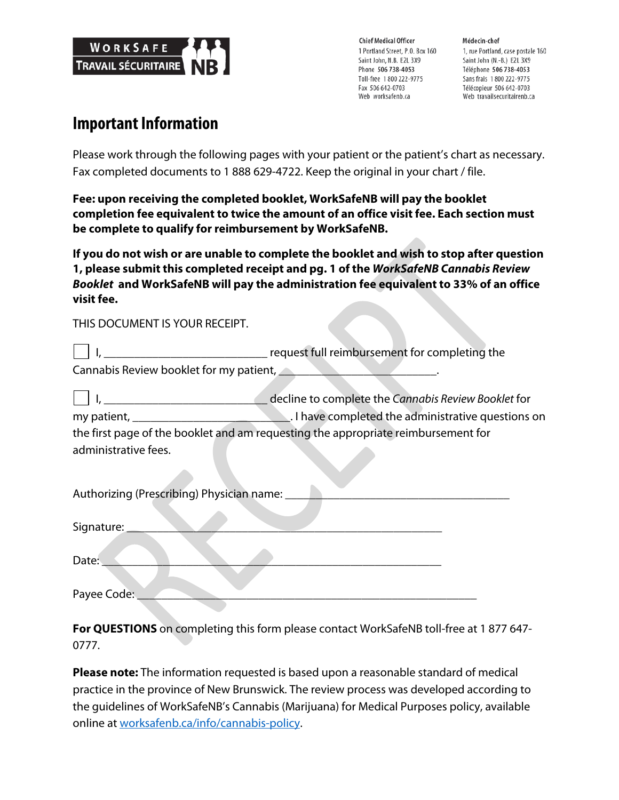

**Chief Medical Officer** 1 Portland Street, P.O. Box 160 Saint John, N.B. E2L 3X9 Phone 506 738-4053 Toll-free 1800 222-9775 Fax 506 642-0703 Web worksafenb.ca

Médecin-chef 1, rue Portland, case postale 160 Saint John (N.-B.) E2L 3X9 Téléphone 506 738-4053 Sans frais 1800 222-9775 Télécopieur 506 642-0703 Web travailsecuritairenb.ca

# **Important Information**

Please work through the following pages with your patient or the patient's chart as necessary. Fax completed documents to 1 888 629-4722. Keep the original in your chart / file.

**Fee: upon receiving the completed booklet, WorkSafeNB will pay the booklet completion fee equivalent to twice the amount of an office visit fee. Each section must be complete to qualify for reimbursement by WorkSafeNB.**

**If you do not wish or are unable to complete the booklet and wish to stop after question 1, please submit this completed receipt and pg. 1 of the** *WorkSafeNB Cannabis Review Booklet* **and WorkSafeNB will pay the administration fee equivalent to 33% of an office visit fee.**

THIS DOCUMENT IS YOUR RECEIPT.

|                                         | request full reimbursement for completing the |
|-----------------------------------------|-----------------------------------------------|
| Cannabis Review booklet for my patient, |                                               |

 I, \_\_\_\_\_\_\_\_\_\_\_\_\_\_\_\_\_\_\_\_\_\_\_\_\_\_\_ decline to complete the *Cannabis Review Booklet* for my patient, \_\_\_\_\_\_\_\_\_\_\_\_\_\_\_\_\_\_\_\_\_\_\_\_\_\_. I have completed the administrative questions on the first page of the booklet and am requesting the appropriate reimbursement for administrative fees.

| Authorizing (Prescribing) Physician name: |
|-------------------------------------------|
| Signature:                                |
| Date:                                     |
| Payee Code:                               |

**For QUESTIONS** on completing this form please contact WorkSafeNB toll-free at 1 877 647- 0777.

**Please note:** The information requested is based upon a reasonable standard of medical practice in the province of New Brunswick. The review process was developed according to the guidelines of WorkSafeNB's Cannabis (Marijuana) for Medical Purposes policy, available online at worksafenb.ca/info/cannabis-policy.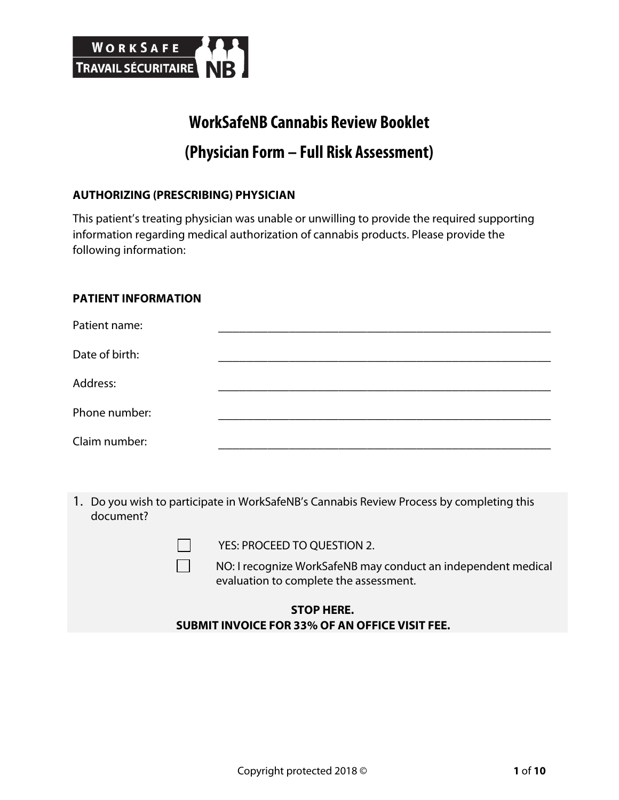

# **WorkSafeNB Cannabis Review Booklet (Physician Form – Full Risk Assessment)**

# **AUTHORIZING (PRESCRIBING) PHYSICIAN**

This patient's treating physician was unable or unwilling to provide the required supporting information regarding medical authorization of cannabis products. Please provide the following information:

#### **PATIENT INFORMATION**

| Patient name:  |  |
|----------------|--|
| Date of birth: |  |
| Address:       |  |
| Phone number:  |  |
| Claim number:  |  |

1. Do you wish to participate in WorkSafeNB's Cannabis Review Process by completing this document?

| YES: PROCEED TO QUESTION 2.                                                                             |
|---------------------------------------------------------------------------------------------------------|
| NO: I recognize WorkSafeNB may conduct an independent medical<br>evaluation to complete the assessment. |

# **STOP HERE. SUBMIT INVOICE FOR 33% OF AN OFFICE VISIT FEE.**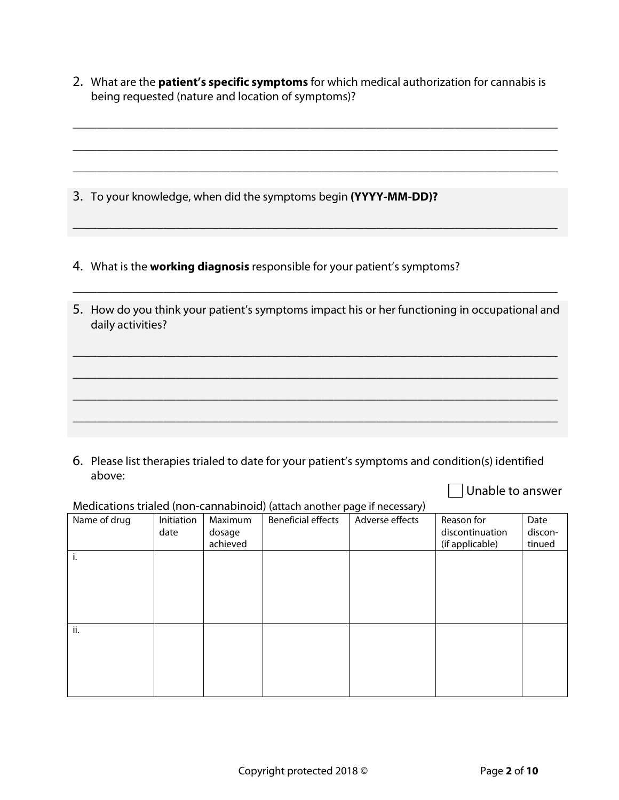2. What are the **patient's specific symptoms** for which medical authorization for cannabis is being requested (nature and location of symptoms)?

\_\_\_\_\_\_\_\_\_\_\_\_\_\_\_\_\_\_\_\_\_\_\_\_\_\_\_\_\_\_\_\_\_\_\_\_\_\_\_\_\_\_\_\_\_\_\_\_\_\_\_\_\_\_\_\_\_\_\_\_\_\_\_\_\_\_\_\_\_\_\_\_\_\_\_\_\_\_\_\_

\_\_\_\_\_\_\_\_\_\_\_\_\_\_\_\_\_\_\_\_\_\_\_\_\_\_\_\_\_\_\_\_\_\_\_\_\_\_\_\_\_\_\_\_\_\_\_\_\_\_\_\_\_\_\_\_\_\_\_\_\_\_\_\_\_\_\_\_\_\_\_\_\_\_\_\_\_\_\_\_

\_\_\_\_\_\_\_\_\_\_\_\_\_\_\_\_\_\_\_\_\_\_\_\_\_\_\_\_\_\_\_\_\_\_\_\_\_\_\_\_\_\_\_\_\_\_\_\_\_\_\_\_\_\_\_\_\_\_\_\_\_\_\_\_\_\_\_\_\_\_\_\_\_\_\_\_\_\_\_\_

\_\_\_\_\_\_\_\_\_\_\_\_\_\_\_\_\_\_\_\_\_\_\_\_\_\_\_\_\_\_\_\_\_\_\_\_\_\_\_\_\_\_\_\_\_\_\_\_\_\_\_\_\_\_\_\_\_\_\_\_\_\_\_\_\_\_\_\_\_\_\_\_\_\_\_\_\_\_\_\_

- 3. To your knowledge, when did the symptoms begin **(YYYY-MM-DD)?**
- 4. What is the **working diagnosis** responsible for your patient's symptoms?
- 5. How do you think your patient's symptoms impact his or her functioning in occupational and daily activities?

\_\_\_\_\_\_\_\_\_\_\_\_\_\_\_\_\_\_\_\_\_\_\_\_\_\_\_\_\_\_\_\_\_\_\_\_\_\_\_\_\_\_\_\_\_\_\_\_\_\_\_\_\_\_\_\_\_\_\_\_\_\_\_\_\_\_\_\_\_\_\_\_\_\_\_\_\_\_\_\_

\_\_\_\_\_\_\_\_\_\_\_\_\_\_\_\_\_\_\_\_\_\_\_\_\_\_\_\_\_\_\_\_\_\_\_\_\_\_\_\_\_\_\_\_\_\_\_\_\_\_\_\_\_\_\_\_\_\_\_\_\_\_\_\_\_\_\_\_\_\_\_\_\_\_\_\_\_\_\_\_

\_\_\_\_\_\_\_\_\_\_\_\_\_\_\_\_\_\_\_\_\_\_\_\_\_\_\_\_\_\_\_\_\_\_\_\_\_\_\_\_\_\_\_\_\_\_\_\_\_\_\_\_\_\_\_\_\_\_\_\_\_\_\_\_\_\_\_\_\_\_\_\_\_\_\_\_\_\_\_\_

\_\_\_\_\_\_\_\_\_\_\_\_\_\_\_\_\_\_\_\_\_\_\_\_\_\_\_\_\_\_\_\_\_\_\_\_\_\_\_\_\_\_\_\_\_\_\_\_\_\_\_\_\_\_\_\_\_\_\_\_\_\_\_\_\_\_\_\_\_\_\_\_\_\_\_\_\_\_\_\_

\_\_\_\_\_\_\_\_\_\_\_\_\_\_\_\_\_\_\_\_\_\_\_\_\_\_\_\_\_\_\_\_\_\_\_\_\_\_\_\_\_\_\_\_\_\_\_\_\_\_\_\_\_\_\_\_\_\_\_\_\_\_\_\_\_\_\_\_\_\_\_\_\_\_\_\_\_\_\_\_

6. Please list therapies trialed to date for your patient's symptoms and condition(s) identified above:

Unable to answer

#### Medications trialed (non-cannabinoid) (attach another page if necessary)

| Name of drug | Initiation | Maximum  | . .<br><b>Beneficial effects</b> | $\overline{\phantom{a}}$<br>$\cdot$ $\cdot$<br>Adverse effects | Reason for      | Date    |
|--------------|------------|----------|----------------------------------|----------------------------------------------------------------|-----------------|---------|
|              | date       | dosage   |                                  |                                                                | discontinuation | discon- |
|              |            | achieved |                                  |                                                                | (if applicable) | tinued  |
| i.           |            |          |                                  |                                                                |                 |         |
|              |            |          |                                  |                                                                |                 |         |
|              |            |          |                                  |                                                                |                 |         |
|              |            |          |                                  |                                                                |                 |         |
|              |            |          |                                  |                                                                |                 |         |
|              |            |          |                                  |                                                                |                 |         |
| ii.          |            |          |                                  |                                                                |                 |         |
|              |            |          |                                  |                                                                |                 |         |
|              |            |          |                                  |                                                                |                 |         |
|              |            |          |                                  |                                                                |                 |         |
|              |            |          |                                  |                                                                |                 |         |
|              |            |          |                                  |                                                                |                 |         |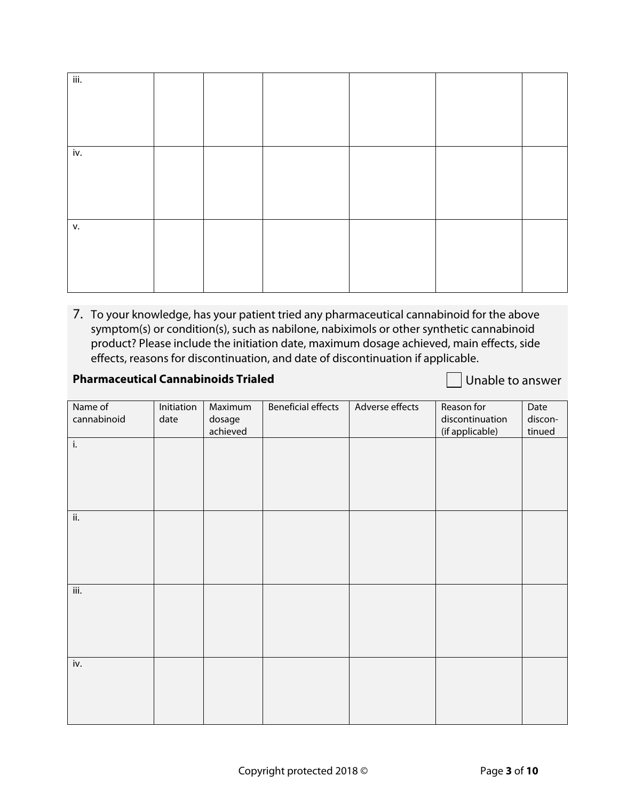| iii. |  |  |  |
|------|--|--|--|
|      |  |  |  |
|      |  |  |  |
|      |  |  |  |
| iv.  |  |  |  |
|      |  |  |  |
|      |  |  |  |
|      |  |  |  |
| v.   |  |  |  |
|      |  |  |  |
|      |  |  |  |
|      |  |  |  |

7. To your knowledge, has your patient tried any pharmaceutical cannabinoid for the above symptom(s) or condition(s), such as nabilone, nabiximols or other synthetic cannabinoid product? Please include the initiation date, maximum dosage achieved, main effects, side effects, reasons for discontinuation, and date of discontinuation if applicable.

# **Pharmaceutical Cannabinoids Trialed** Denomination Communication Consumer

| Name of     | Initiation | Maximum  | <b>Beneficial effects</b> | Adverse effects | Reason for      | Date    |
|-------------|------------|----------|---------------------------|-----------------|-----------------|---------|
| cannabinoid | date       | dosage   |                           |                 | discontinuation | discon- |
|             |            | achieved |                           |                 | (if applicable) | tinued  |
| i.          |            |          |                           |                 |                 |         |
|             |            |          |                           |                 |                 |         |
|             |            |          |                           |                 |                 |         |
|             |            |          |                           |                 |                 |         |
|             |            |          |                           |                 |                 |         |
| ii.         |            |          |                           |                 |                 |         |
|             |            |          |                           |                 |                 |         |
|             |            |          |                           |                 |                 |         |
|             |            |          |                           |                 |                 |         |
|             |            |          |                           |                 |                 |         |
| iii.        |            |          |                           |                 |                 |         |
|             |            |          |                           |                 |                 |         |
|             |            |          |                           |                 |                 |         |
|             |            |          |                           |                 |                 |         |
|             |            |          |                           |                 |                 |         |
| iv.         |            |          |                           |                 |                 |         |
|             |            |          |                           |                 |                 |         |
|             |            |          |                           |                 |                 |         |
|             |            |          |                           |                 |                 |         |
|             |            |          |                           |                 |                 |         |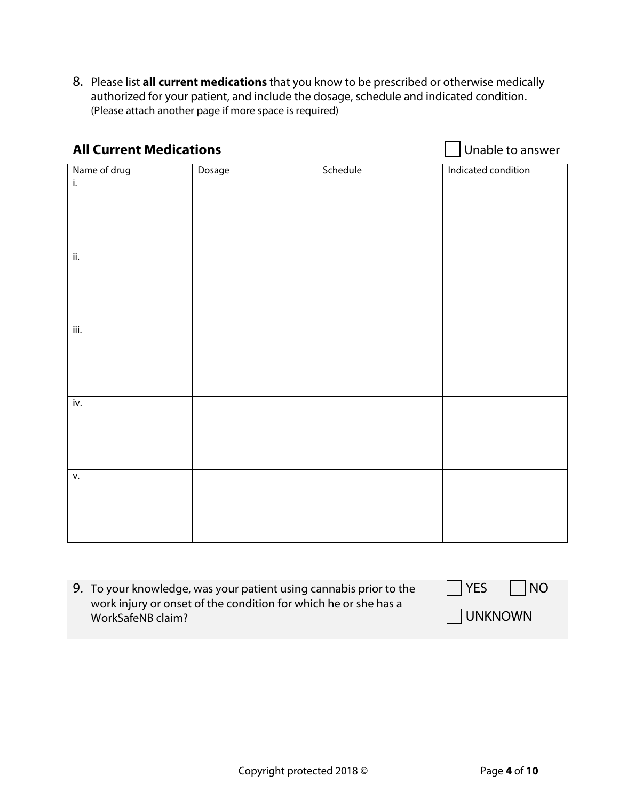8. Please list **all current medications** that you know to be prescribed or otherwise medically authorized for your patient, and include the dosage, schedule and indicated condition. (Please attach another page if more space is required)

| <b>All Current Medications</b> |        |          | Unable to answer    |  |
|--------------------------------|--------|----------|---------------------|--|
| Name of drug                   | Dosage | Schedule | Indicated condition |  |
| ī.                             |        |          |                     |  |
|                                |        |          |                     |  |
|                                |        |          |                     |  |
|                                |        |          |                     |  |
| ii.                            |        |          |                     |  |
|                                |        |          |                     |  |
|                                |        |          |                     |  |
|                                |        |          |                     |  |
| iii.                           |        |          |                     |  |
|                                |        |          |                     |  |
|                                |        |          |                     |  |
|                                |        |          |                     |  |
|                                |        |          |                     |  |
| iv.                            |        |          |                     |  |
|                                |        |          |                     |  |
|                                |        |          |                     |  |
|                                |        |          |                     |  |
| v.                             |        |          |                     |  |
|                                |        |          |                     |  |
|                                |        |          |                     |  |
|                                |        |          |                     |  |
|                                |        |          |                     |  |

| 9. To your knowledge, was your patient using cannabis prior to the                   | $\parallel$ $ $ YES<br>$\vert$ $\vert$ NO |
|--------------------------------------------------------------------------------------|-------------------------------------------|
| work injury or onset of the condition for which he or she has a<br>WorkSafeNB claim? | <b>UNKNOWN</b>                            |
|                                                                                      |                                           |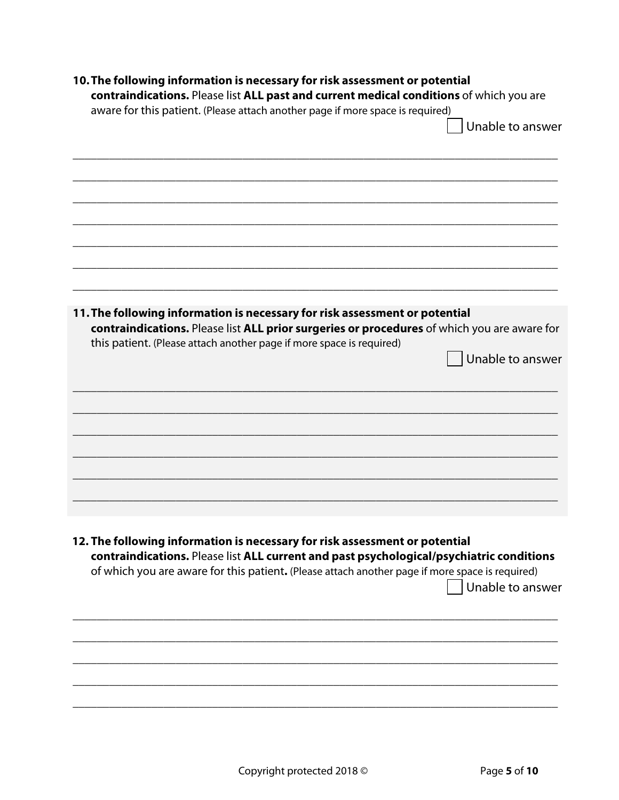| aware for this patient. (Please attach another page if more space is required)                                                                                                                                                                                             | contraindications. Please list ALL past and current medical conditions of which you are<br>Unable to answer |
|----------------------------------------------------------------------------------------------------------------------------------------------------------------------------------------------------------------------------------------------------------------------------|-------------------------------------------------------------------------------------------------------------|
|                                                                                                                                                                                                                                                                            |                                                                                                             |
|                                                                                                                                                                                                                                                                            |                                                                                                             |
|                                                                                                                                                                                                                                                                            |                                                                                                             |
|                                                                                                                                                                                                                                                                            |                                                                                                             |
| 11. The following information is necessary for risk assessment or potential<br>contraindications. Please list ALL prior surgeries or procedures of which you are aware for                                                                                                 |                                                                                                             |
| this patient. (Please attach another page if more space is required)                                                                                                                                                                                                       | Unable to answer                                                                                            |
|                                                                                                                                                                                                                                                                            |                                                                                                             |
|                                                                                                                                                                                                                                                                            |                                                                                                             |
|                                                                                                                                                                                                                                                                            |                                                                                                             |
|                                                                                                                                                                                                                                                                            |                                                                                                             |
| 12. The following information is necessary for risk assessment or potential<br>contraindications. Please list ALL current and past psychological/psychiatric conditions<br>of which you are aware for this patient. (Please attach another page if more space is required) |                                                                                                             |
|                                                                                                                                                                                                                                                                            | Unable to answer                                                                                            |
|                                                                                                                                                                                                                                                                            |                                                                                                             |
|                                                                                                                                                                                                                                                                            |                                                                                                             |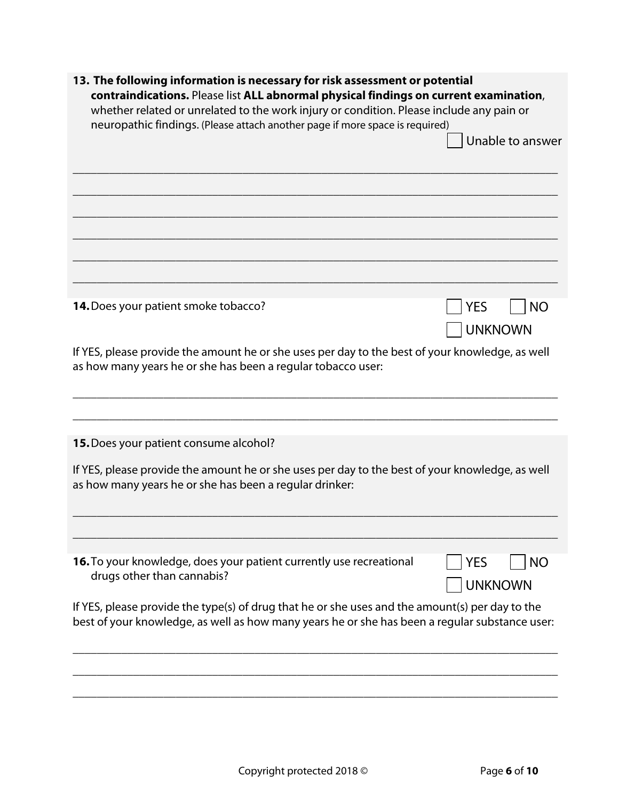| 13. The following information is necessary for risk assessment or potential<br>contraindications. Please list ALL abnormal physical findings on current examination,<br>whether related or unrelated to the work injury or condition. Please include any pain or<br>neuropathic findings. (Please attach another page if more space is required) |                                           |
|--------------------------------------------------------------------------------------------------------------------------------------------------------------------------------------------------------------------------------------------------------------------------------------------------------------------------------------------------|-------------------------------------------|
|                                                                                                                                                                                                                                                                                                                                                  | Unable to answer                          |
|                                                                                                                                                                                                                                                                                                                                                  |                                           |
|                                                                                                                                                                                                                                                                                                                                                  |                                           |
|                                                                                                                                                                                                                                                                                                                                                  |                                           |
| 14. Does your patient smoke tobacco?                                                                                                                                                                                                                                                                                                             | <b>YES</b><br><b>NO</b><br><b>UNKNOWN</b> |
| If YES, please provide the amount he or she uses per day to the best of your knowledge, as well<br>as how many years he or she has been a regular tobacco user:                                                                                                                                                                                  |                                           |
| 15. Does your patient consume alcohol?                                                                                                                                                                                                                                                                                                           |                                           |
| If YES, please provide the amount he or she uses per day to the best of your knowledge, as well<br>as how many years he or she has been a regular drinker:                                                                                                                                                                                       |                                           |
|                                                                                                                                                                                                                                                                                                                                                  |                                           |
| 16. To your knowledge, does your patient currently use recreational<br>drugs other than cannabis?                                                                                                                                                                                                                                                | <b>YES</b><br>ΝO<br><b>UNKNOWN</b>        |
| If YES, please provide the type(s) of drug that he or she uses and the amount(s) per day to the<br>best of your knowledge, as well as how many years he or she has been a regular substance user:                                                                                                                                                |                                           |
|                                                                                                                                                                                                                                                                                                                                                  |                                           |

\_\_\_\_\_\_\_\_\_\_\_\_\_\_\_\_\_\_\_\_\_\_\_\_\_\_\_\_\_\_\_\_\_\_\_\_\_\_\_\_\_\_\_\_\_\_\_\_\_\_\_\_\_\_\_\_\_\_\_\_\_\_\_\_\_\_\_\_\_\_\_\_\_\_\_\_\_\_\_\_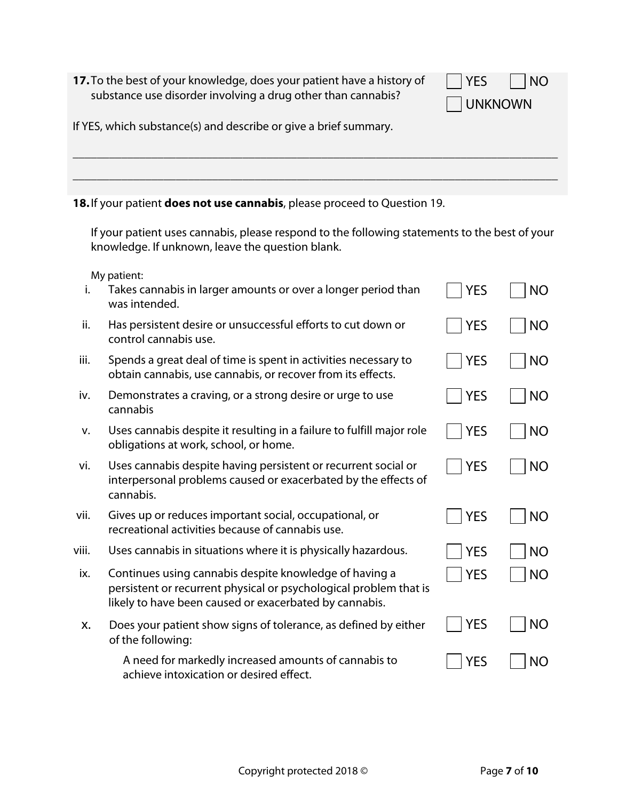17. To the best of your knowledge, does your patient have a history substance use disorder involving a drug other than cannabis?

| y of | $ $ YES<br>$\vert$ $\vert$ NO |  |
|------|-------------------------------|--|
|      | UNKNOWN                       |  |

If YES, which substance(s) and describe or give a brief summary.

# **18.**If your patient **does not use cannabis**, please proceed to Question 19.

If your patient uses cannabis, please respond to the following statements to the best of your knowledge. If unknown, leave the question blank.

\_\_\_\_\_\_\_\_\_\_\_\_\_\_\_\_\_\_\_\_\_\_\_\_\_\_\_\_\_\_\_\_\_\_\_\_\_\_\_\_\_\_\_\_\_\_\_\_\_\_\_\_\_\_\_\_\_\_\_\_\_\_\_\_\_\_\_\_\_\_\_\_\_\_\_\_\_\_\_\_

\_\_\_\_\_\_\_\_\_\_\_\_\_\_\_\_\_\_\_\_\_\_\_\_\_\_\_\_\_\_\_\_\_\_\_\_\_\_\_\_\_\_\_\_\_\_\_\_\_\_\_\_\_\_\_\_\_\_\_\_\_\_\_\_\_\_\_\_\_\_\_\_\_\_\_\_\_\_\_\_

My patient:

| i.    | Takes cannabis in larger amounts or over a longer period than<br>was intended.                                                                                                        | <b>YES</b> | <b>NO</b> |
|-------|---------------------------------------------------------------------------------------------------------------------------------------------------------------------------------------|------------|-----------|
| ii.   | Has persistent desire or unsuccessful efforts to cut down or<br>control cannabis use.                                                                                                 | <b>YES</b> | <b>NO</b> |
| iii.  | Spends a great deal of time is spent in activities necessary to<br>obtain cannabis, use cannabis, or recover from its effects.                                                        | <b>YES</b> | <b>NO</b> |
| iv.   | Demonstrates a craving, or a strong desire or urge to use<br>cannabis                                                                                                                 | <b>YES</b> | <b>NO</b> |
| v.    | Uses cannabis despite it resulting in a failure to fulfill major role<br>obligations at work, school, or home.                                                                        | <b>YES</b> | <b>NO</b> |
| vi.   | Uses cannabis despite having persistent or recurrent social or<br>interpersonal problems caused or exacerbated by the effects of<br>cannabis.                                         | YES        | <b>NO</b> |
| vii.  | Gives up or reduces important social, occupational, or<br>recreational activities because of cannabis use.                                                                            | <b>YES</b> | <b>NO</b> |
| viii. | Uses cannabis in situations where it is physically hazardous.                                                                                                                         | <b>YES</b> | <b>NO</b> |
| ix.   | Continues using cannabis despite knowledge of having a<br>persistent or recurrent physical or psychological problem that is<br>likely to have been caused or exacerbated by cannabis. | YES        | <b>NO</b> |
| Х.    | Does your patient show signs of tolerance, as defined by either<br>of the following:                                                                                                  | <b>YES</b> | <b>NO</b> |
|       | A need for markedly increased amounts of cannabis to<br>achieve intoxication or desired effect.                                                                                       | <b>YES</b> | <b>NO</b> |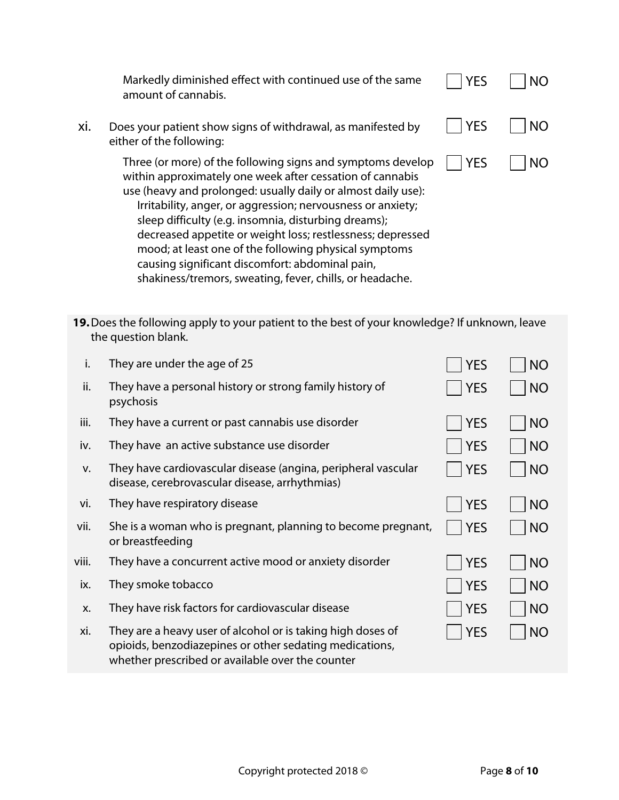|     | Markedly diminished effect with continued use of the same<br>amount of cannabis.                                                                                                                                                                                                                                                                                                                                                                                                                                                                       | <b>YES</b> | NΟ        |
|-----|--------------------------------------------------------------------------------------------------------------------------------------------------------------------------------------------------------------------------------------------------------------------------------------------------------------------------------------------------------------------------------------------------------------------------------------------------------------------------------------------------------------------------------------------------------|------------|-----------|
| xi. | Does your patient show signs of withdrawal, as manifested by<br>either of the following:                                                                                                                                                                                                                                                                                                                                                                                                                                                               | <b>YES</b> | <b>NO</b> |
|     | Three (or more) of the following signs and symptoms develop<br>within approximately one week after cessation of cannabis<br>use (heavy and prolonged: usually daily or almost daily use):<br>Irritability, anger, or aggression; nervousness or anxiety;<br>sleep difficulty (e.g. insomnia, disturbing dreams);<br>decreased appetite or weight loss; restlessness; depressed<br>mood; at least one of the following physical symptoms<br>causing significant discomfort: abdominal pain,<br>shakiness/tremors, sweating, fever, chills, or headache. | <b>YES</b> | <b>NO</b> |

**19.**Does the following apply to your patient to the best of your knowledge? If unknown, leave the question blank.

| i.    | They are under the age of 25                                                                                                                                               | <b>YES</b> | <b>NO</b> |
|-------|----------------------------------------------------------------------------------------------------------------------------------------------------------------------------|------------|-----------|
| ii.   | They have a personal history or strong family history of<br>psychosis                                                                                                      | <b>YES</b> | <b>NO</b> |
| iii.  | They have a current or past cannabis use disorder                                                                                                                          | <b>YES</b> | <b>NO</b> |
| iv.   | They have an active substance use disorder                                                                                                                                 | <b>YES</b> | <b>NO</b> |
| V.    | They have cardiovascular disease (angina, peripheral vascular<br>disease, cerebrovascular disease, arrhythmias)                                                            | <b>YES</b> | <b>NO</b> |
| vi.   | They have respiratory disease                                                                                                                                              | <b>YES</b> | <b>NO</b> |
| vii.  | She is a woman who is pregnant, planning to become pregnant,<br>or breastfeeding                                                                                           | <b>YES</b> | <b>NO</b> |
| viii. | They have a concurrent active mood or anxiety disorder                                                                                                                     | <b>YES</b> | <b>NO</b> |
| ix.   | They smoke tobacco                                                                                                                                                         | <b>YES</b> | <b>NO</b> |
| X.    | They have risk factors for cardiovascular disease                                                                                                                          | <b>YES</b> | <b>NO</b> |
| xi.   | They are a heavy user of alcohol or is taking high doses of<br>opioids, benzodiazepines or other sedating medications,<br>whether prescribed or available over the counter | <b>YES</b> | <b>NO</b> |
|       |                                                                                                                                                                            |            |           |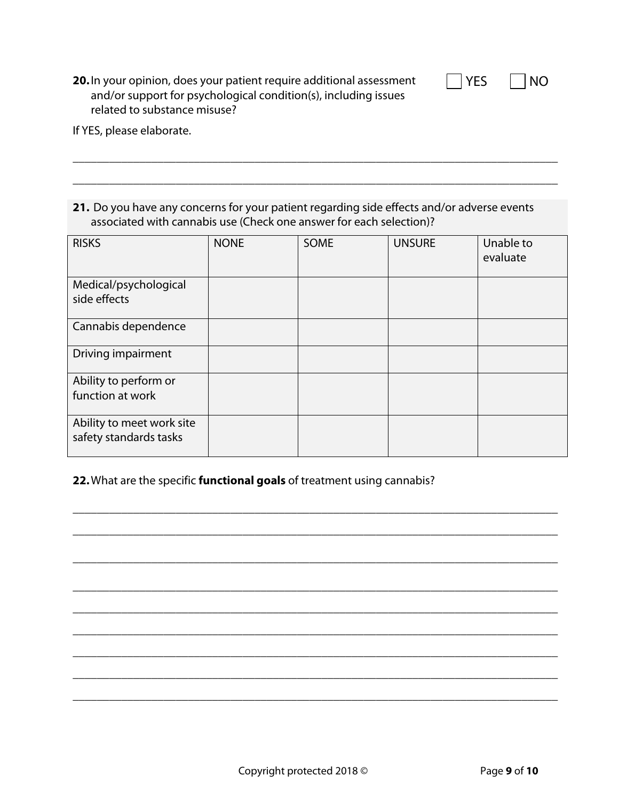| YE: |  | ΝO |
|-----|--|----|
|-----|--|----|

**20.**In your opinion, does your patient require additional assessment and/or support for psychological condition(s), including issues related to substance misuse?

If YES, please elaborate.

# **21.** Do you have any concerns for your patient regarding side effects and/or adverse events associated with cannabis use (Check one answer for each selection)?

\_\_\_\_\_\_\_\_\_\_\_\_\_\_\_\_\_\_\_\_\_\_\_\_\_\_\_\_\_\_\_\_\_\_\_\_\_\_\_\_\_\_\_\_\_\_\_\_\_\_\_\_\_\_\_\_\_\_\_\_\_\_\_\_\_\_\_\_\_\_\_\_\_\_\_\_\_\_\_\_

\_\_\_\_\_\_\_\_\_\_\_\_\_\_\_\_\_\_\_\_\_\_\_\_\_\_\_\_\_\_\_\_\_\_\_\_\_\_\_\_\_\_\_\_\_\_\_\_\_\_\_\_\_\_\_\_\_\_\_\_\_\_\_\_\_\_\_\_\_\_\_\_\_\_\_\_\_\_\_\_

| <b>RISKS</b>                                        | <b>NONE</b> | <b>SOME</b> | <b>UNSURE</b> | Unable to<br>evaluate |
|-----------------------------------------------------|-------------|-------------|---------------|-----------------------|
| Medical/psychological<br>side effects               |             |             |               |                       |
| Cannabis dependence                                 |             |             |               |                       |
| Driving impairment                                  |             |             |               |                       |
| Ability to perform or<br>function at work           |             |             |               |                       |
| Ability to meet work site<br>safety standards tasks |             |             |               |                       |

\_\_\_\_\_\_\_\_\_\_\_\_\_\_\_\_\_\_\_\_\_\_\_\_\_\_\_\_\_\_\_\_\_\_\_\_\_\_\_\_\_\_\_\_\_\_\_\_\_\_\_\_\_\_\_\_\_\_\_\_\_\_\_\_\_\_\_\_\_\_\_\_\_\_\_\_\_\_\_\_

\_\_\_\_\_\_\_\_\_\_\_\_\_\_\_\_\_\_\_\_\_\_\_\_\_\_\_\_\_\_\_\_\_\_\_\_\_\_\_\_\_\_\_\_\_\_\_\_\_\_\_\_\_\_\_\_\_\_\_\_\_\_\_\_\_\_\_\_\_\_\_\_\_\_\_\_\_\_\_\_

\_\_\_\_\_\_\_\_\_\_\_\_\_\_\_\_\_\_\_\_\_\_\_\_\_\_\_\_\_\_\_\_\_\_\_\_\_\_\_\_\_\_\_\_\_\_\_\_\_\_\_\_\_\_\_\_\_\_\_\_\_\_\_\_\_\_\_\_\_\_\_\_\_\_\_\_\_\_\_\_

\_\_\_\_\_\_\_\_\_\_\_\_\_\_\_\_\_\_\_\_\_\_\_\_\_\_\_\_\_\_\_\_\_\_\_\_\_\_\_\_\_\_\_\_\_\_\_\_\_\_\_\_\_\_\_\_\_\_\_\_\_\_\_\_\_\_\_\_\_\_\_\_\_\_\_\_\_\_\_\_

\_\_\_\_\_\_\_\_\_\_\_\_\_\_\_\_\_\_\_\_\_\_\_\_\_\_\_\_\_\_\_\_\_\_\_\_\_\_\_\_\_\_\_\_\_\_\_\_\_\_\_\_\_\_\_\_\_\_\_\_\_\_\_\_\_\_\_\_\_\_\_\_\_\_\_\_\_\_\_\_

\_\_\_\_\_\_\_\_\_\_\_\_\_\_\_\_\_\_\_\_\_\_\_\_\_\_\_\_\_\_\_\_\_\_\_\_\_\_\_\_\_\_\_\_\_\_\_\_\_\_\_\_\_\_\_\_\_\_\_\_\_\_\_\_\_\_\_\_\_\_\_\_\_\_\_\_\_\_\_\_

\_\_\_\_\_\_\_\_\_\_\_\_\_\_\_\_\_\_\_\_\_\_\_\_\_\_\_\_\_\_\_\_\_\_\_\_\_\_\_\_\_\_\_\_\_\_\_\_\_\_\_\_\_\_\_\_\_\_\_\_\_\_\_\_\_\_\_\_\_\_\_\_\_\_\_\_\_\_\_\_

\_\_\_\_\_\_\_\_\_\_\_\_\_\_\_\_\_\_\_\_\_\_\_\_\_\_\_\_\_\_\_\_\_\_\_\_\_\_\_\_\_\_\_\_\_\_\_\_\_\_\_\_\_\_\_\_\_\_\_\_\_\_\_\_\_\_\_\_\_\_\_\_\_\_\_\_\_\_\_\_

\_\_\_\_\_\_\_\_\_\_\_\_\_\_\_\_\_\_\_\_\_\_\_\_\_\_\_\_\_\_\_\_\_\_\_\_\_\_\_\_\_\_\_\_\_\_\_\_\_\_\_\_\_\_\_\_\_\_\_\_\_\_\_\_\_\_\_\_\_\_\_\_\_\_\_\_\_\_\_\_

### **22.**What are the specific **functional goals** of treatment using cannabis?